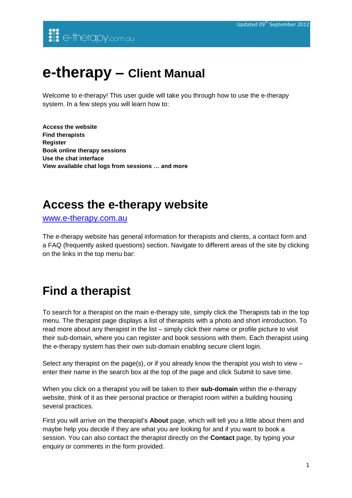# **e-therapy – Client Manual**

Welcome to e-therapy! This user guide will take you through how to use the e-therapy system. In a few steps you will learn how to:

**Access the website Find therapists Register Book online therapy sessions Use the chat interface View available chat logs from sessions … and more**

### **Access the e-therapy website**

[www.e-therapy.com.au](http://www.e-therapy.com.au/)

The e-therapy website has general information for therapists and clients, a contact form and a FAQ (frequently asked questions) section. Navigate to different areas of the site by clicking on the links in the top menu bar:

## **Find a therapist**

To search for a therapist on the main e-therapy site, simply click the Therapists tab in the top menu. The therapist page displays a list of therapists with a photo and short introduction. To read more about any therapist in the list – simply click their name or profile picture to visit their sub-domain, where you can register and book sessions with them. Each therapist using the e-therapy system has their own sub-domain enabling secure client login.

Select any therapist on the page(s), or if you already know the therapist you wish to view – enter their name in the search box at the top of the page and click Submit to save time.

When you click on a therapist you will be taken to their **sub-domain** within the e-therapy website, think of it as their personal practice or therapist room within a building housing several practices.

First you will arrive on the therapist's **About** page, which will tell you a little about them and maybe help you decide if they are what you are looking for and if you want to book a session. You can also contact the therapist directly on the **Contact** page, by typing your enquiry or comments in the form provided.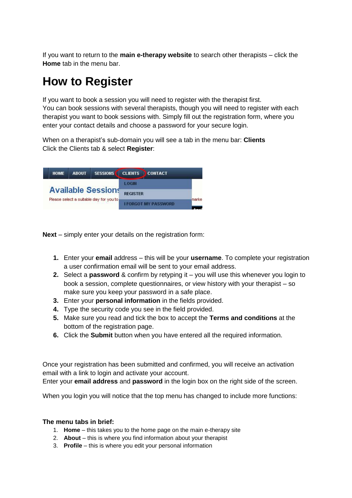If you want to return to the **main e-therapy website** to search other therapists – click the **Home** tab in the menu bar.

# **How to Register**

If you want to book a session you will need to register with the therapist first. You can book sessions with several therapists, though you will need to register with each therapist you want to book sessions with. Simply fill out the registration form, where you enter your contact details and choose a password for your secure login.

When on a therapist's sub-domain you will see a tab in the menu bar: **Clients** Click the Clients tab & select **Register**:



**Next** – simply enter your details on the registration form:

- **1.** Enter your **email** address this will be your **username**. To complete your registration a user confirmation email will be sent to your email address.
- **2.** Select a **password** & confirm by retyping it you will use this whenever you login to book a session, complete questionnaires, or view history with your therapist – so make sure you keep your password in a safe place.
- **3.** Enter your **personal information** in the fields provided.
- **4.** Type the security code you see in the field provided.
- **5.** Make sure you read and tick the box to accept the **Terms and conditions** at the bottom of the registration page.
- **6.** Click the **Submit** button when you have entered all the required information.

Once your registration has been submitted and confirmed, you will receive an activation email with a link to login and activate your account.

Enter your **email address** and **password** in the login box on the right side of the screen.

When you login you will notice that the top menu has changed to include more functions:

#### **The menu tabs in brief:**

- 1. **Home** this takes you to the home page on the main e-therapy site
- 2. **About** this is where you find information about your therapist
- 3. **Profile** this is where you edit your personal information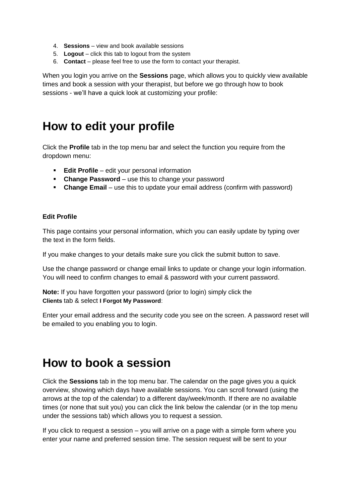- 4. **Sessions** view and book available sessions
- 5. **Logout** click this tab to logout from the system
- 6. **Contact** please feel free to use the form to contact your therapist.

When you login you arrive on the **Sessions** page, which allows you to quickly view available times and book a session with your therapist, but before we go through how to book sessions - we'll have a quick look at customizing your profile:

#### **How to edit your profile**

Click the **Profile** tab in the top menu bar and select the function you require from the dropdown menu:

- **Edit Profile** edit your personal information
- **Change Password** use this to change your password
- **Change Email** use this to update your email address (confirm with password)

#### **Edit Profile**

This page contains your personal information, which you can easily update by typing over the text in the form fields.

If you make changes to your details make sure you click the submit button to save.

Use the change password or change email links to update or change your login information. You will need to confirm changes to email & password with your current password.

**Note:** If you have forgotten your password (prior to login) simply click the **Clients** tab & select **I Forgot My Password**:

Enter your email address and the security code you see on the screen. A password reset will be emailed to you enabling you to login.

### **How to book a session**

Click the **Sessions** tab in the top menu bar. The calendar on the page gives you a quick overview, showing which days have available sessions. You can scroll forward (using the arrows at the top of the calendar) to a different day/week/month. If there are no available times (or none that suit you) you can click the link below the calendar (or in the top menu under the sessions tab) which allows you to request a session.

If you click to request a session – you will arrive on a page with a simple form where you enter your name and preferred session time. The session request will be sent to your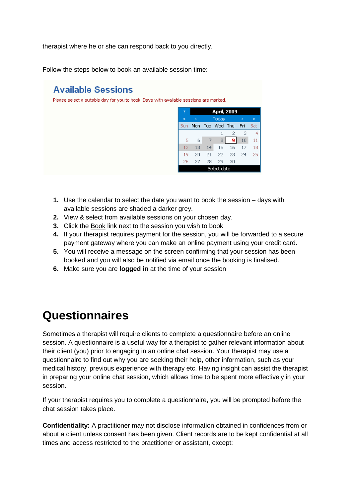therapist where he or she can respond back to you directly.

Follow the steps below to book an available session time:

#### **Available Sessions**

Please select a suitable day for you to book. Days with available sessions are marked.

| 7           | <b>April, 2009</b> |     |         |     |     |     |  |  |
|-------------|--------------------|-----|---------|-----|-----|-----|--|--|
| ¢,          | e                  |     | Today   | ь   | ≫   |     |  |  |
| Sun         | Mon                | Tue | Wed Thu |     | Fri | Sat |  |  |
|             |                    |     |         | 2   | 3   | 4   |  |  |
| 5           | 6                  | 7   | 8       | ا 9 | 10  | 11  |  |  |
| 12          | 13                 | 14  | 15      | 16  | 17  | 18  |  |  |
| 19          | 20                 | 21  | 22      | 23  | 24  | 25  |  |  |
| 26          | 27                 | 28  | 29      | 30  |     |     |  |  |
| Select date |                    |     |         |     |     |     |  |  |

- **1.** Use the calendar to select the date you want to book the session days with available sessions are shaded a darker grey.
- **2.** View & select from available sessions on your chosen day.
- **3.** Click the Book link next to the session you wish to book
- **4.** If your therapist requires payment for the session, you will be forwarded to a secure payment gateway where you can make an online payment using your credit card.
- **5.** You will receive a message on the screen confirming that your session has been booked and you will also be notified via email once the booking is finalised.
- **6.** Make sure you are **logged in** at the time of your session

## **Questionnaires**

Sometimes a therapist will require clients to complete a questionnaire before an online session. A questionnaire is a useful way for a therapist to gather relevant information about their client (you) prior to engaging in an online chat session. Your therapist may use a questionnaire to find out why you are seeking their help, other information, such as your medical history, previous experience with therapy etc. Having insight can assist the therapist in preparing your online chat session, which allows time to be spent more effectively in your session.

If your therapist requires you to complete a questionnaire, you will be prompted before the chat session takes place.

**Confidentiality:** A practitioner may not disclose information obtained in confidences from or about a client unless consent has been given. Client records are to be kept confidential at all times and access restricted to the practitioner or assistant, except: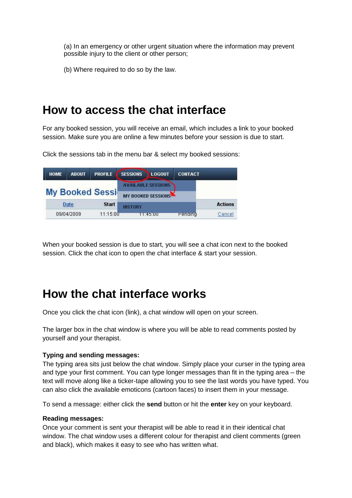(a) In an emergency or other urgent situation where the information may prevent possible injury to the client or other person;

(b) Where required to do so by the law.

### **How to access the chat interface**

For any booked session, you will receive an email, which includes a link to your booked session. Make sure you are online a few minutes before your session is due to start.

Click the sessions tab in the menu bar & select my booked sessions:



When your booked session is due to start, you will see a chat icon next to the booked session. Click the chat icon to open the chat interface & start your session.

### **How the chat interface works**

Once you click the chat icon (link), a chat window will open on your screen.

The larger box in the chat window is where you will be able to read comments posted by yourself and your therapist.

#### **Typing and sending messages:**

The typing area sits just below the chat window. Simply place your curser in the typing area and type your first comment. You can type longer messages than fit in the typing area – the text will move along like a ticker-tape allowing you to see the last words you have typed. You can also click the available emoticons (cartoon faces) to insert them in your message.

To send a message: either click the **send** button or hit the **enter** key on your keyboard.

#### **Reading messages:**

Once your comment is sent your therapist will be able to read it in their identical chat window. The chat window uses a different colour for therapist and client comments (green and black), which makes it easy to see who has written what.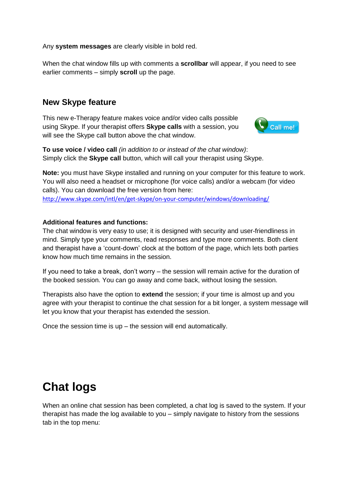Any **system messages** are clearly visible in bold red.

When the chat window fills up with comments a **scrollbar** will appear, if you need to see earlier comments – simply **scroll** up the page.

#### **New Skype feature**

This new e-Therapy feature makes voice and/or video calls possible using Skype. If your therapist offers **Skype calls** with a session, you will see the Skype call button above the chat window.



**To use voice / video call** *(in addition to or instead of the chat window)*: Simply click the **Skype call** button, which will call your therapist using Skype.

**Note:** you must have Skype installed and running on your computer for this feature to work. You will also need a headset or microphone (for voice calls) and/or a webcam (for video calls). You can download the free version from here: <http://www.skype.com/intl/en/get-skype/on-your-computer/windows/downloading/>

#### **Additional features and functions:**

The chat window is very easy to use; it is designed with security and user-friendliness in mind. Simply type your comments, read responses and type more comments. Both client and therapist have a 'count-down' clock at the bottom of the page, which lets both parties know how much time remains in the session.

If you need to take a break, don't worry – the session will remain active for the duration of the booked session. You can go away and come back, without losing the session.

Therapists also have the option to **extend** the session; if your time is almost up and you agree with your therapist to continue the chat session for a bit longer, a system message will let you know that your therapist has extended the session.

Once the session time is up – the session will end automatically.

## **Chat logs**

When an online chat session has been completed, a chat log is saved to the system. If your therapist has made the log available to you – simply navigate to history from the sessions tab in the top menu: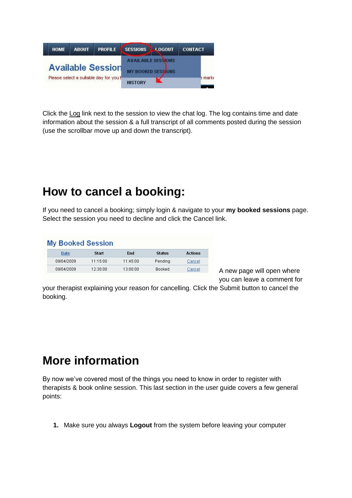

Click the Log link next to the session to view the chat log. The log contains time and date information about the session & a full transcript of all comments posted during the session (use the scrollbar move up and down the transcript).

### **How to cancel a booking:**

If you need to cancel a booking; simply login & navigate to your **my booked sessions** page. Select the session you need to decline and click the Cancel link.

| <b>My Booked Session</b> |          |            |               |                |  |  |  |  |
|--------------------------|----------|------------|---------------|----------------|--|--|--|--|
| Date                     | Start    | <b>End</b> | <b>Status</b> | <b>Actions</b> |  |  |  |  |
| 09/04/2009               | 11:15:00 | 11:45:00   | Pending       | Cancel         |  |  |  |  |
| 09/04/2009               | 12:30:00 | 13:00:00   | Booked        | Cancel         |  |  |  |  |

A new page will open where you can leave a comment for

your therapist explaining your reason for cancelling. Click the Submit button to cancel the booking.

## **More information**

By now we've covered most of the things you need to know in order to register with therapists & book online session. This last section in the user guide covers a few general points:

**1.** Make sure you always **Logout** from the system before leaving your computer